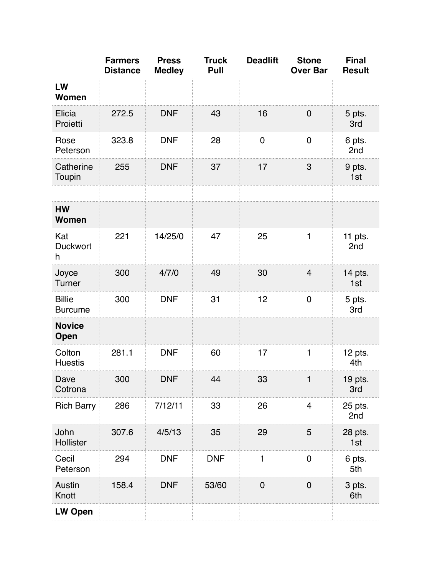|                                 | <b>Farmers</b><br><b>Distance</b> | <b>Press</b><br><b>Medley</b> | <b>Truck</b><br>Pull | <b>Deadlift</b> | <b>Stone</b><br><b>Over Bar</b> | <b>Final</b><br><b>Result</b> |
|---------------------------------|-----------------------------------|-------------------------------|----------------------|-----------------|---------------------------------|-------------------------------|
| LW<br>Women                     |                                   |                               |                      |                 |                                 |                               |
| Elicia<br>Proietti              | 272.5                             | <b>DNF</b>                    | 43                   | 16              | $\mathbf 0$                     | 5 pts.<br>3rd                 |
| Rose<br>Peterson                | 323.8                             | <b>DNF</b>                    | 28                   | 0               | $\mathbf 0$                     | 6 pts.<br>2nd                 |
| Catherine<br>Toupin             | 255                               | <b>DNF</b>                    | 37                   | 17              | $\mathbf{3}$                    | 9 pts.<br>1st                 |
|                                 |                                   |                               |                      |                 |                                 |                               |
| <b>HW</b><br><b>Women</b>       |                                   |                               |                      |                 |                                 |                               |
| Kat<br><b>Duckwort</b><br>h     | 221                               | 14/25/0                       | 47                   | 25              | 1                               | 11 pts.<br>2nd                |
| Joyce<br>Turner                 | 300                               | 4/7/0                         | 49                   | 30              | $\overline{4}$                  | 14 pts.<br>1st                |
| <b>Billie</b><br><b>Burcume</b> | 300                               | <b>DNF</b>                    | 31                   | 12              | $\mathbf 0$                     | 5 pts.<br>3rd                 |
| <b>Novice</b><br><b>Open</b>    |                                   |                               |                      |                 |                                 |                               |
| Colton<br><b>Huestis</b>        | 281.1                             | <b>DNF</b>                    | 60                   | 17              | $\mathbf 1$                     | 12 pts.<br>4th                |
| Dave<br>Cotrona                 | 300                               | <b>DNF</b>                    | 44                   | 33              | 1                               | $19$ pts.<br>3rd              |
| <b>Rich Barry</b>               | 286                               | 7/12/11                       | 33                   | 26              | $\overline{4}$                  | 25 pts.<br>2nd                |
| John<br>Hollister               | 307.6                             | 4/5/13                        | 35                   | 29              | 5                               | 28 pts.<br>1st                |
| Cecil<br>Peterson               | 294                               | <b>DNF</b>                    | <b>DNF</b>           | 1               | $\boldsymbol{0}$                | 6 pts.<br>5th                 |
| Austin<br>Knott                 | 158.4                             | <b>DNF</b>                    | 53/60                | $\mathbf 0$     | $\mathbf 0$                     | 3 pts.<br>6th                 |
| <b>LW Open</b>                  |                                   |                               |                      |                 |                                 |                               |